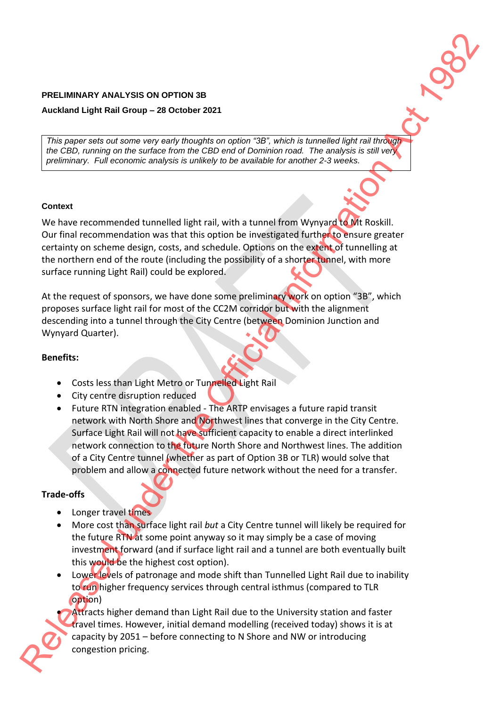## **PRELIMINARY ANALYSIS ON OPTION 3B**

## **Auckland Light Rail Group – 28 October 2021**

*This paper sets out some very early thoughts on option "3B", which is tunnelled light rail through the CBD, running on the surface from the CBD end of Dominion road. The analysis is still very preliminary. Full economic analysis is unlikely to be available for another 2-3 weeks.*

#### **Context**

We have recommended tunnelled light rail, with a tunnel from Wynyard to Mt Roskill. Our final recommendation was that this option be investigated further to ensure greater certainty on scheme design, costs, and schedule. Options on the extent of tunnelling at the northern end of the route (including the possibility of a shorter tunnel, with more surface running Light Rail) could be explored.

At the request of sponsors, we have done some preliminary work on option "3B", which proposes surface light rail for most of the CC2M corridor but with the alignment descending into a tunnel through the City Centre (between Dominion Junction and Wynyard Quarter).

# **Benefits:**

- Costs less than Light Metro or Tunnelled Light Rail
- City centre disruption reduced
- Future RTN integration enabled The ARTP envisages a future rapid transit network with North Shore and Northwest lines that converge in the City Centre. Surface Light Rail will not have sufficient capacity to enable a direct interlinked network connection to the future North Shore and Northwest lines. The addition of a City Centre tunnel (whether as part of Option 3B or TLR) would solve that problem and allow a connected future network without the need for a transfer. **PRELIMINARY ANALYSIS ON OPTION 38**<br> **Relation Light Rail develop – 38 October 3921**<br>
This paper sets not parties the option and the Official Information Act 1982 (and 0.000)<br>  $\phi$  explicit and the Official Information Ac

# **Trade-offs**

- Longer travel times
- More cost than surface light rail *but* a City Centre tunnel will likely be required for the future RTN at some point anyway so it may simply be a case of moving investment forward (and if surface light rail and a tunnel are both eventually built this would be the highest cost option).
- Lower levels of patronage and mode shift than Tunnelled Light Rail due to inability to run higher frequency services through central isthmus (compared to TLR option)

Attracts higher demand than Light Rail due to the University station and faster travel times. However, initial demand modelling (received today) shows it is at capacity by 2051 – before connecting to N Shore and NW or introducing congestion pricing.